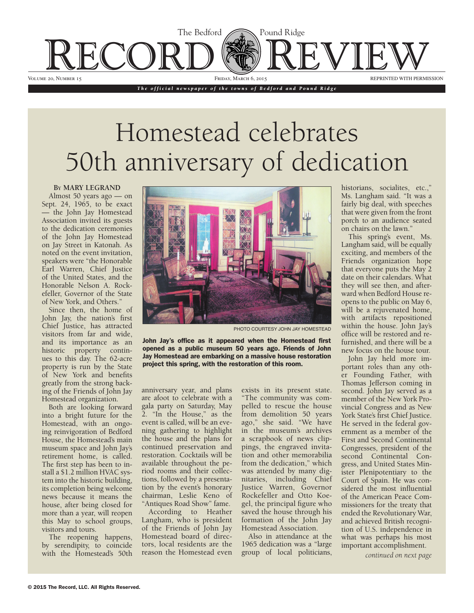

*The official newspaper of the towns of Bedford and Pound Ridge*

## Homestead celebrates 50th anniversary of dedication

## **By MARY LEGRAND**

Almost 50 years ago — on Sept. 24, 1965, to be exact the John Jay Homestead Association invited its guests to the dedication ceremonies of the John Jay Homestead on Jay Street in Katonah. As noted on the event invitation, speakers were "the Honorable Earl Warren, Chief Justice of the United States, and the Honorable Nelson A. Rockefeller, Governor of the State of New York, and Others."

and its importance as an ues to this day. The 62-acre<br>property is run by the State Since then, the home of John Jay, the nation's first Chief Justice, has attracted visitors from far and wide, historic property continues to this day. The 62-acre of New York and benefits greatly from the strong backing of the Friends of John Jay Homestead organization.

retirement home, is called. The first step has been to install a \$1.2 million HVAC system into the historic building, its completion being welcome news because it means the house, after being closed for more than a year, will reopen this May to school groups, visitors and tours. House, the Homestead's main museum space and John Jay's Both are looking forward into a bright future for the Homestead, with an ongoing reinvigoration of Bedford

The reopening happens, by serendipity, to coincide with the Homestead's 50th



PHOTO COURTESY JOHN JAY HOMESTEAD

John Jay's office as it appeared when the Homestead first opened as a public museum 50 years ago. Friends of John Jay Homestead are embarking on a massive house restoration project this spring, with the restoration of this room.

anniversary year, and plans are afoot to celebrate with a gala party on Saturday, May 2. "In the House," as the event is called, will be an evening gathering to highlight the house and the plans for continued preservation and restoration. Cocktails will be available throughout the period rooms and their collections, followed by a presentation by the event's honorary chairman, Leslie Keno of "Antiques Road Show" fame.

According to Heather Langham, who is president of the Friends of John Jay Homestead board of directors, local residents are the reason the Homestead even

exists in its present state. "The community was compelled to rescue the house from demolition 50 years ago," she said. "We have in the museum's archives a scrapbook of news clippings, the engraved invitation and other memorabilia from the dedication," which was attended by many dignitaries, including Chief Justice Warren, Governor Rockefeller and Otto Koegel, the principal figure who saved the house through his formation of the John Jay Homestead Association.

Also in attendance at the 1965 dedication was a "large group of local politicians,

historians, socialites, etc.," Ms. Langham said. "It was a fairly big deal, with speeches that were given from the front porch to an audience seated on chairs on the lawn."

will be a rejuvenated home, This spring's event, Ms. Langham said, will be equally exciting, and members of the Friends organization hope that everyone puts the May 2 date on their calendars. What they will see then, and afterward when Bedford House reopens to the public on May 6, with artifacts repositioned within the house. John Jay's office will be restored and refurnished, and there will be a new focus on the house tour.

*continued on page 13 continued on page 6* tion of U.S. independence in John Jay held more important roles than any other Founding Father, with Thomas Jefferson coming in second. John Jay served as a member of the New York Provincial Congress and as New York State's first Chief Justice. He served in the federal government as a member of the First and Second Continental Congresses, president of the second Continental Congress, and United States Minister Plenipotentiary to the Court of Spain. He was considered the most influential of the American Peace Commissioners for the treaty that ended the Revolutionary War, and achieved British recogniwhat was perhaps his most important accomplishment.

*continued on next page*